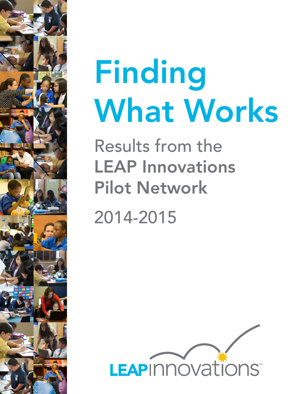

# Finding What Works

Results from the LEAP Innovations Pilot Network

2014-2015

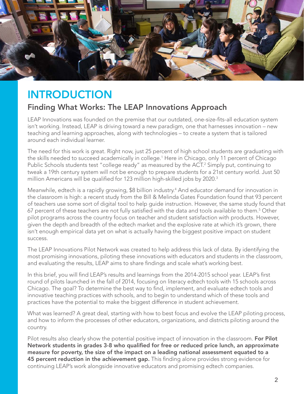

## INTRODUCTION

#### Finding What Works: The LEAP Innovations Approach

LEAP Innovations was founded on the premise that our outdated, one-size-fits-all education system isn't working. Instead, LEAP is driving toward a new paradigm, one that harnesses innovation – new teaching and learning approaches, along with technologies – to create a system that is tailored around each individual learner.

The need for this work is great. Right now, just 25 percent of high school students are graduating with the skills needed to succeed academically in college.<sup>1</sup> Here in Chicago, only 11 percent of Chicago Public Schools students test "college ready" as measured by the ACT.<sup>2</sup> Simply put, continuing to tweak a 19th century system will not be enough to prepare students for a 21st century world. Just 50 million Americans will be qualified for 123 million high-skilled jobs by 2020.3

Meanwhile, edtech is a rapidly growing, \$8 billion industry.<sup>4</sup> And educator demand for innovation in the classroom is high: a recent study from the Bill & Melinda Gates Foundation found that 93 percent of teachers use some sort of digital tool to help guide instruction. However, the same study found that  $67$  percent of these teachers are not fully satisfied with the data and tools available to them. $5$  Other pilot programs across the country focus on teacher and student satisfaction with products. However, given the depth and breadth of the edtech market and the explosive rate at which it's grown, there isn't enough empirical data yet on what is actually having the biggest positive impact on student success.

The LEAP Innovations Pilot Network was created to help address this lack of data. By identifying the most promising innovations, piloting these innovations with educators and students in the classroom, and evaluating the results, LEAP aims to share findings and scale what's working best.

In this brief, you will find LEAP's results and learnings from the 2014-2015 school year. LEAP's first round of pilots launched in the fall of 2014, focusing on literacy edtech tools with 15 schools across Chicago. The goal? To determine the best way to find, implement, and evaluate edtech tools and innovative teaching practices with schools, and to begin to understand which of these tools and practices have the potential to make the biggest difference in student achievement.

What was learned? A great deal, starting with how to best focus and evolve the LEAP piloting process, and how to inform the processes of other educators, organizations, and districts piloting around the country.

Pilot results also clearly show the potential positive impact of innovation in the classroom. For Pilot Network students in grades 3-8 who qualified for free or reduced price lunch, an approximate measure for poverty, the size of the impact on a leading national assessment equated to a 45 percent reduction in the achievement gap. This finding alone provides strong evidence for continuing LEAP's work alongside innovative educators and promising edtech companies.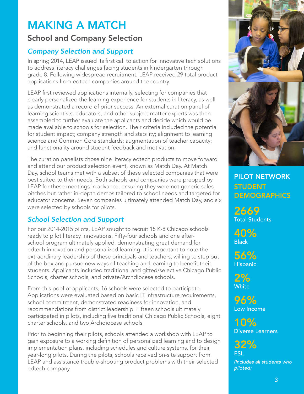# MAKING A MATCH

#### School and Company Selection

#### *Company Selection and Support*

In spring 2014, LEAP issued its first call to action for innovative tech solutions to address literacy challenges facing students in kindergarten through grade 8. Following widespread recruitment, LEAP received 29 total product applications from edtech companies around the country.

LEAP first reviewed applications internally, selecting for companies that clearly personalized the learning experience for students in literacy, as well as demonstrated a record of prior success. An external curation panel of learning scientists, educators, and other subject-matter experts was then assembled to further evaluate the applicants and decide which would be made available to schools for selection. Their criteria included the potential for student impact; company strength and stability; alignment to learning science and Common Core standards; augmentation of teacher capacity; and functionality around student feedback and motivation.

The curation panelists chose nine literacy edtech products to move forward and attend our product selection event, known as Match Day. At Match Day, school teams met with a subset of these selected companies that were best suited to their needs. Both schools and companies were prepped by LEAP for these meetings in advance, ensuring they were not generic sales pitches but rather in-depth demos tailored to school needs and targeted for educator concerns. Seven companies ultimately attended Match Day, and six were selected by schools for pilots.

#### *School Selection and Support*

For our 2014-2015 pilots, LEAP sought to recruit 15 K-8 Chicago schools ready to pilot literacy innovations. Fifty-four schools and one afterschool program ultimately applied, demonstrating great demand for edtech innovation and personalized learning. It is important to note the extraordinary leadership of these principals and teachers, willing to step out of the box and pursue new ways of teaching and learning to benefit their students. Applicants included traditional and gifted/selective Chicago Public Schools, charter schools, and private/Archdiocese schools.

From this pool of applicants, 16 schools were selected to participate. Applications were evaluated based on basic IT infrastructure requirements, school commitment, demonstrated readiness for innovation, and recommendations from district leadership. Fifteen schools ultimately participated in pilots, including five traditional Chicago Public Schools, eight charter schools, and two Archdiocese schools.

Prior to beginning their pilots, schools attended a workshop with LEAP to gain exposure to a working definition of personalized learning and to design implementation plans, including schedules and culture systems, for their year-long pilots. During the pilots, schools received on-site support from LEAP and assistance trouble-shooting product problems with their selected edtech company.



PILOT NETWORK STUDENT **DEMOGRAPHICS** 

2669 Total Students

40% **Black** 

> 56% Hispanic

2% White

96% Low Income

10% Diverse Learners

32% **ESL** 

*(includes all students who piloted)*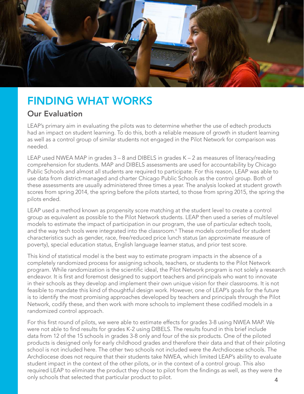

# FINDING WHAT WORKS

#### Our Evaluation

LEAP's primary aim in evaluating the pilots was to determine whether the use of edtech products had an impact on student learning. To do this, both a reliable measure of growth in student learning as well as a control group of similar students not engaged in the Pilot Network for comparison was needed.

LEAP used NWEA MAP in grades 3 – 8 and DIBELS in grades K – 2 as measures of literacy/reading comprehension for students. MAP and DIBELS assessments are used for accountability by Chicago Public Schools and almost all students are required to participate. For this reason, LEAP was able to use data from district-managed and charter Chicago Public Schools as the control group. Both of these assessments are usually administered three times a year. The analysis looked at student growth scores from spring 2014, the spring before the pilots started, to those from spring 2015, the spring the pilots ended.

LEAP used a method known as propensity score matching at the student level to create a control group as equivalent as possible to the Pilot Network students. LEAP then used a series of multilevel models to estimate the impact of participation in our program, the use of particular edtech tools, and the way tech tools were integrated into the classroom.<sup>6</sup> These models controlled for student characteristics such as gender, race, free/reduced price lunch status (an approximate measure of poverty), special education status, English language learner status, and prior test score.

This kind of statistical model is the best way to estimate program impacts in the absence of a completely randomized process for assigning schools, teachers, or students to the Pilot Network program. While randomization is the scientific ideal, the Pilot Network program is not solely a research endeavor. It is first and foremost designed to support teachers and principals who want to innovate in their schools as they develop and implement their own unique vision for their classrooms. It is not feasible to mandate this kind of thoughtful design work. However, one of LEAP's goals for the future is to identify the most promising approaches developed by teachers and principals through the Pilot Network, codify these, and then work with more schools to implement these codified models in a randomized control approach.

For this first round of pilots, we were able to estimate effects for grades 3-8 using NWEA MAP. We were not able to find results for grades K-2 using DIBELS. The results found in this brief include data from 12 of the 15 schools in grades 3-8 only and four of the six products. One of the piloted products is designed only for early childhood grades and therefore their data and that of their piloting school is not included here. The other two schools not included were the Archdiocese schools. The Archdiocese does not require that their students take NWEA, which limited LEAP's ability to evaluate student impact in the context of the other pilots, or in the context of a control group. This also required LEAP to eliminate the product they chose to pilot from the findings as well, as they were the only schools that selected that particular product to pilot. 4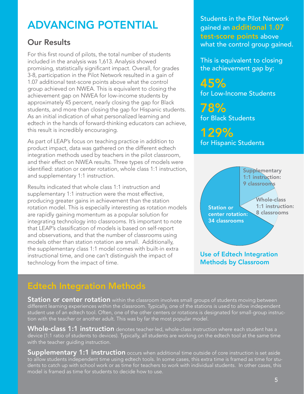# ADVANCING POTENTIAL

### Our Results

For this first round of pilots, the total number of students included in the analysis was 1,613. Analysis showed promising, statistically significant impact. Overall, for grades 3-8, participation in the Pilot Network resulted in a gain of 1.07 additional test-score points above what the control group achieved on NWEA. This is equivalent to closing the achievement gap on NWEA for low-income students by approximately 45 percent, nearly closing the gap for Black students, and more than closing the gap for Hispanic students. As an initial indication of what personalized learning and edtech in the hands of forward-thinking educators can achieve, this result is incredibly encouraging.

As part of LEAP's focus on teaching practice in addition to product impact, data was gathered on the different edtech integration methods used by teachers in the pilot classroom, and their effect on NWEA results. Three types of models were identified: station or center rotation, whole class 1:1 instruction, and supplementary 1:1 instruction.

Results indicated that whole class 1:1 instruction and supplementary 1:1 instruction were the most effective, producing greater gains in achievement than the station rotation model. This is especially interesting as rotation models are rapidly gaining momentum as a popular solution for integrating technology into classrooms. It's important to note that LEAP's classification of models is based on self-report and observations, and that the number of classrooms using models other than station rotation are small. Additionally, the supplementary class 1:1 model comes with built-in extra instructional time, and one can't distinguish the impact of technology from the impact of time.

Students in the Pilot Network gained an additional 1.07 test-score points above what the control group gained.

This is equivalent to closing the achievement gap by:

45% for Low-Income Students

78% for Black Students

129% for Hispanic Students



## Methods by Classroom

## Edtech Integration Methods

**Station or center rotation** within the classroom involves small groups of students moving between different learning experiences within the classroom. Typically, one of the stations is used to allow independent student use of an edtech tool. Often, one of the other centers or rotations is designated for small-group instruction with the teacher or another adult. This was by far the most popular model.

Whole-class 1:1 instruction denotes teacher-led, whole-class instruction where each student has a device (1:1 ratio of students to devices). Typically, all students are working on the edtech tool at the same time with the teacher guiding instruction.

**Supplementary 1:1 instruction** occurs when additional time outside of core instruction is set aside to allow students independent time using edtech tools. In some cases, this extra time is framed as time for students to catch up with school work or as time for teachers to work with individual students. In other cases, this model is framed as time for students to decide how to use.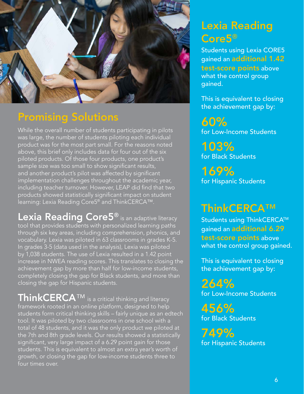

## Promising Solutions

While the overall number of students participating in pilots was large, the number of students piloting each individual product was for the most part small. For the reasons noted above, this brief only includes data for four out of the six piloted products. Of those four products, one product's sample size was too small to show significant results, and another product's pilot was affected by significant implementation challenges throughout the academic year, including teacher turnover. However, LEAP did find that two products showed statistically significant impact on student learning: Lexia Reading Core5® and ThinkCERCA™.

Lexia Reading Core5<sup>®</sup> is an adaptive literacy tool that provides students with personalized learning paths through six key areas, including comprehension, phonics, and vocabulary. Lexia was piloted in 63 classrooms in grades K-5. In grades 3-5 (data used in the analysis), Lexia was piloted by 1,038 students. The use of Lexia resulted in a 1.42 point increase in NWEA reading scores. This translates to closing the achievement gap by more than half for low-income students, completely closing the gap for Black students, and more than closing the gap for Hispanic students.

ThinkCERCA<sup>™</sup> is a critical thinking and literacy framework rooted in an online platform, designed to help students form critical thinking skills – fairly unique as an edtech tool. It was piloted by two classrooms in one school with a total of 48 students, and it was the only product we piloted at the 7th and 8th grade levels. Our results showed a statistically significant, very large impact of a 6.29 point gain for those students. This is equivalent to almost an extra year's worth of growth, or closing the gap for low-income students three to four times over.

## Lexia Reading Core5®

Students using Lexia CORE5 gained an additional 1.42 test-score points above what the control group gained.

This is equivalent to closing the achievement gap by:

60% for Low-Income Students

103% for Black Students

169% for Hispanic Students

## ThinkCERCA™

Students using ThinkCERCA™ gained an additional 6.29 test-score points above what the control group gained.

This is equivalent to closing the achievement gap by:

264% for Low-Income Students

456% for Black Students

749% for Hispanic Students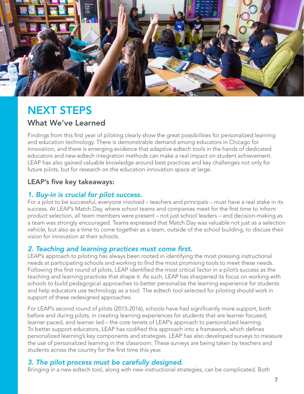

# NEXT STEPS

#### What We've Learned

Findings from this first year of piloting clearly show the great possibilities for personalized learning and education technology. There is demonstrable demand among educators in Chicago for innovation, and there is emerging evidence that adaptive edtech tools in the hands of dedicated educators and new edtech integration methods can make a real impact on student achievement. LEAP has also gained valuable knowledge around best practices and key challenges not only for future pilots, but for research on the education innovation space at large.

#### LEAP's five key takeaways:

#### *1. Buy-in is crucial for pilot success.*

For a pilot to be successful, everyone involved – teachers and principals – must have a real stake in its success. At LEAP's Match Day, where school teams and companies meet for the first time to inform product selection, all team members were present – not just school leaders – and decision-making as a team was strongly encouraged. Teams expressed that Match Day was valuable not just as a selection vehicle, but also as a time to come together as a team, outside of the school building, to discuss their vision for innovation at their schools.

#### 2. Teaching and learning practices must come first.

LEAP's approach to piloting has always been rooted in identifying the most pressing instructional needs at participating schools and working to find the most promising tools to meet these needs. Following this first round of pilots, LEAP identified the most critical factor in a pilot's success as the teaching and learning practices that shape it. As such, LEAP has sharpened its focus on working with schools to build pedagogical approaches to better personalize the learning experience for students and help educators use technology as a tool. The edtech tool selected for piloting should work in support of these redesigned approaches.

For LEAP's second round of pilots (2015-2016), schools have had significantly more support, both before and during pilots, in creating learning experiences for students that are learner focused, learner paced, and learner led – the core tenets of LEAP's approach to personalized learning. To better support educators, LEAP has codified this approach into a framework, which defines personalized learning's key components and strategies. LEAP has also developed surveys to measure the use of personalized learning in the classroom. These surveys are being taken by teachers and students across the country for the first time this year.

#### *3. The pilot process must be carefully designed.*

Bringing in a new edtech tool, along with new instructional strategies, can be complicated. Both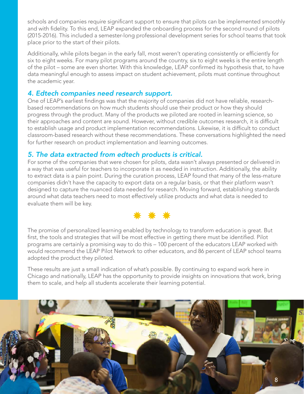schools and companies require significant support to ensure that pilots can be implemented smoothly and with fidelity. To this end, LEAP expanded the onboarding process for the second round of pilots (2015-2016). This included a semester-long professional development series for school teams that took place prior to the start of their pilots.

Additionally, while pilots began in the early fall, most weren't operating consistently or efficiently for six to eight weeks. For many pilot programs around the country, six to eight weeks is the entire length of the pilot – some are even shorter. With this knowledge, LEAP confirmed its hypothesis that, to have data meaningful enough to assess impact on student achievement, pilots must continue throughout the academic year.

#### *4. Edtech companies need research support.*

One of LEAP's earliest findings was that the majority of companies did not have reliable, researchbased recommendations on how much students should use their product or how they should progress through the product. Many of the products we piloted are rooted in learning science, so their approaches and content are sound. However, without credible outcomes research, it is difficult to establish usage and product implementation recommendations. Likewise, it is difficult to conduct classroom-based research without these recommendations. These conversations highlighted the need for further research on product implementation and learning outcomes.

#### *5. The data extracted from edtech products is critical.*

For some of the companies that were chosen for pilots, data wasn't always presented or delivered in a way that was useful for teachers to incorporate it as needed in instruction. Additionally, the ability to extract data is a pain point. During the curation process, LEAP found that many of the less-mature companies didn't have the capacity to export data on a regular basis, or that their platform wasn't designed to capture the nuanced data needed for research. Moving forward, establishing standards around what data teachers need to most effectively utilize products and what data is needed to evaluate them will be key.



The promise of personalized learning enabled by technology to transform education is great. But first, the tools and strategies that will be most effective in getting there must be identified. Pilot programs are certainly a promising way to do this – 100 percent of the educators LEAP worked with would recommend the LEAP Pilot Network to other educators, and 86 percent of LEAP school teams adopted the product they piloted.

These results are just a small indication of what's possible. By continuing to expand work here in Chicago and nationally, LEAP has the opportunity to provide insights on innovations that work, bring them to scale, and help all students accelerate their learning potential.

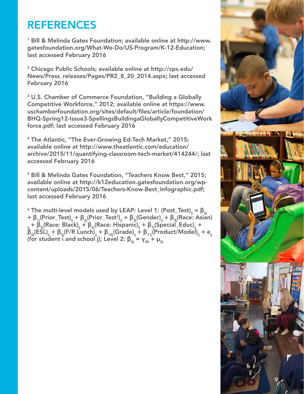## **REFERENCES**

<sup>1</sup> Bill & Melinda Gates Foundation; available online at http://www. gatesfoundation.org/What-We-Do/US-Program/K-12-Education; last accessed February 2016

<sup>2</sup> Chicago Public Schools; available online at http://cps.edu/ News/Press\_releases/Pages/PR2\_8\_20\_2014.aspx; last accessed February 2016

<sup>3</sup> U.S. Chamber of Commerce Foundation, "Building a Globally Competitive Workforce," 2012; available online at https://www. uschamberfoundation.org/sites/default/files/article/foundation/ BHQ-Spring12-Issue3-SpellingsBuildingaGloballyCompetitiveWork force.pdf; last accessed February 2016

<sup>4</sup> The Atlantic, "The Ever-Growing Ed-Tech Market," 2015; available online at http://www.theatlantic.com/education/ archive/2015/11/quantifying-classroom-tech-market/414244/; last accessed February 2016

<sup>5</sup> Bill & Melinda Gates Foundation, "Teachers Know Best," 2015; available online at http://k12education.gatesfoundation.org/wpcontent/uploads/2015/06/Teachers-Know-Best\_Infographic.pdf; last accessed February 2016

<sup>6</sup> The multi-level models used by LEAP: Level 1: (Post\_Test)<sub>ii</sub> =  $\beta_{0i}$ + β<sub>1j</sub>(Prior\_Test)<sub>ij</sub> + β<sub>2j</sub>(Prior\_Test<sup>2</sup>)<sub>ij</sub> + β<sub>3j</sub>(Gender)<sub>ij</sub> + β<sub>4j</sub>(Race: Asian)  $i_j + \beta_{5j}(Race: Black)_{ij} + \beta_{6j}(Race: Hispanic)_{ij} + \beta_{7j}(Speciai Educ)_{ij} +$  $\beta_{\text{gj}}(\textsf{ESL})_{\textsf{i}\textsf{j}}$  +  $\beta_{\textsf{gj}}(\textsf{F/R}$  Lunch $)_{\textsf{i}\textsf{j}}$  +  $\beta_{\textsf{10j}}(\textsf{Grade})_{\textsf{i}\textsf{j}}$  +  $\beta_{\textsf{11j}}(\textsf{Product/Model})_{\textsf{i}\textsf{j}}$  +  $\textsf{e}_{\textsf{i}\textsf{j}}$ (for student i and school j); Level 2:  $\beta_{\scriptscriptstyle 0j}$  = γ $_{\scriptscriptstyle 00}$  + μ $_{\scriptscriptstyle 0j}$